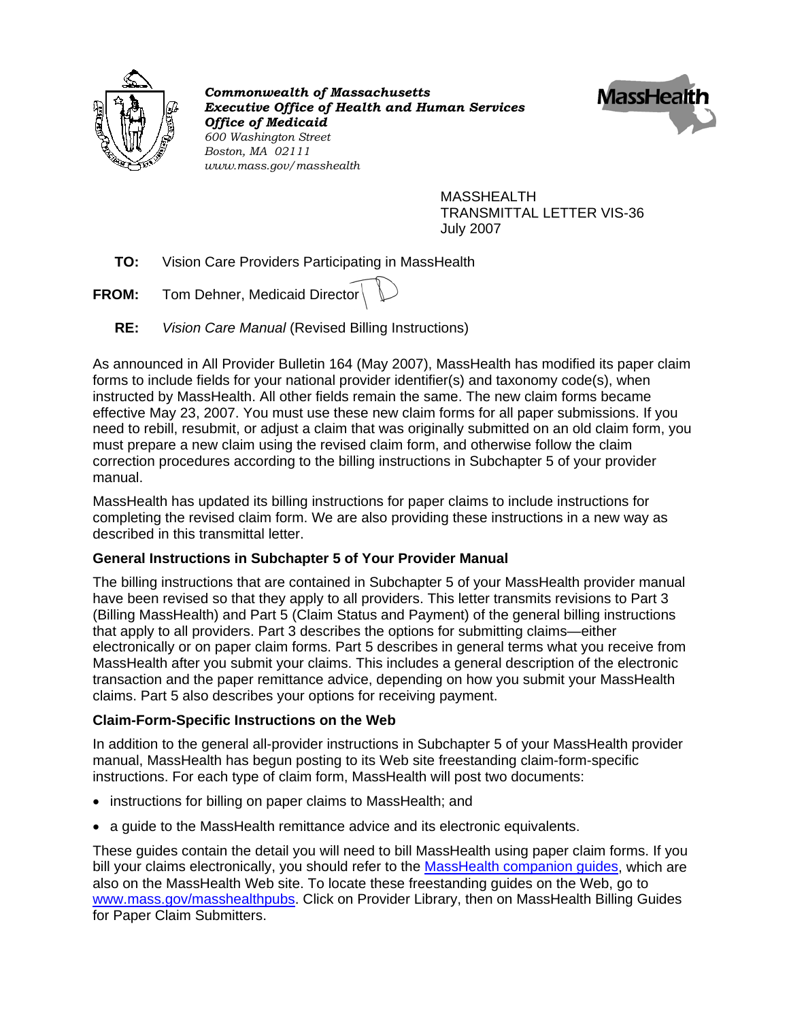

*Commonwealth of Massachusetts Executive Office of Health and Human Services Office of Medicaid 600 Washington Street Boston, MA 02111 www.mass.gov/masshealth* 



MASSHEALTH TRANSMITTAL LETTER VIS-36 July 2007

**TO:** Vision Care Providers Participating in MassHealth

**FROM:** Tom Dehner, Medicaid Director

**RE:** *Vision Care Manual* (Revised Billing Instructions)

As announced in All Provider Bulletin 164 (May 2007), MassHealth has modified its paper claim forms to include fields for your national provider identifier(s) and taxonomy code(s), when instructed by MassHealth. All other fields remain the same. The new claim forms became effective May 23, 2007. You must use these new claim forms for all paper submissions. If you need to rebill, resubmit, or adjust a claim that was originally submitted on an old claim form, you must prepare a new claim using the revised claim form, and otherwise follow the claim correction procedures according to the billing instructions in Subchapter 5 of your provider manual.

MassHealth has updated its billing instructions for paper claims to include instructions for completing the revised claim form. We are also providing these instructions in a new way as described in this transmittal letter.

# **General Instructions in Subchapter 5 of Your Provider Manual**

The billing instructions that are contained in Subchapter 5 of your MassHealth provider manual have been revised so that they apply to all providers. This letter transmits revisions to Part 3 (Billing MassHealth) and Part 5 (Claim Status and Payment) of the general billing instructions that apply to all providers. Part 3 describes the options for submitting claims—either electronically or on paper claim forms. Part 5 describes in general terms what you receive from MassHealth after you submit your claims. This includes a general description of the electronic transaction and the paper remittance advice, depending on how you submit your MassHealth claims. Part 5 also describes your options for receiving payment.

# **Claim-Form-Specific Instructions on the Web**

In addition to the general all-provider instructions in Subchapter 5 of your MassHealth provider manual, MassHealth has begun posting to its Web site freestanding claim-form-specific instructions. For each type of claim form, MassHealth will post two documents:

- instructions for billing on paper claims to MassHealth; and
- a guide to the MassHealth remittance advice and its electronic equivalents.

These guides contain the detail you will need to bill MassHealth using paper claim forms. If you bill your claims electronically, you should refer to the MassHealth companion quides, which are also on the MassHealth Web site. To locate these freestanding guides on the Web, go to [www.mass.gov/masshealthpubs](http://www.mass.gov/masshealthpubs). Click on Provider Library, then on MassHealth Billing Guides for Paper Claim Submitters.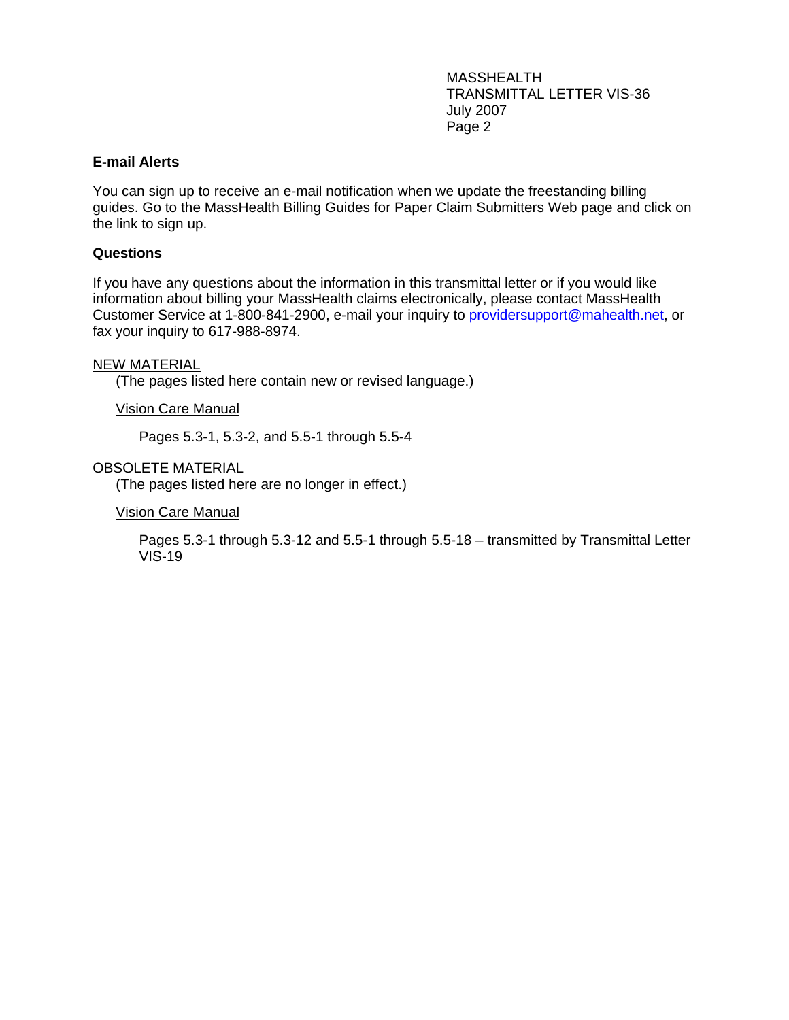MASSHEALTH TRANSMITTAL LETTER VIS-36 July 2007 Page 2

### **E-mail Alerts**

You can sign up to receive an e-mail notification when we update the freestanding billing guides. Go to the MassHealth Billing Guides for Paper Claim Submitters Web page and click on the link to sign up.

### **Questions**

If you have any questions about the information in this transmittal letter or if you would like information about billing your MassHealth claims electronically, please contact MassHealth Customer Service at 1-800-841-2900, e-mail your inquiry to [providersupport@mahealth.net](mailto:providersupport@mahealth.net), or fax your inquiry to 617-988-8974.

### NEW MATERIAL

(The pages listed here contain new or revised language.)

Vision Care Manual

Pages 5.3-1, 5.3-2, and 5.5-1 through 5.5-4

### OBSOLETE MATERIAL

(The pages listed here are no longer in effect.)

#### Vision Care Manual

Pages 5.3-1 through 5.3-12 and 5.5-1 through 5.5-18 – transmitted by Transmittal Letter VIS-19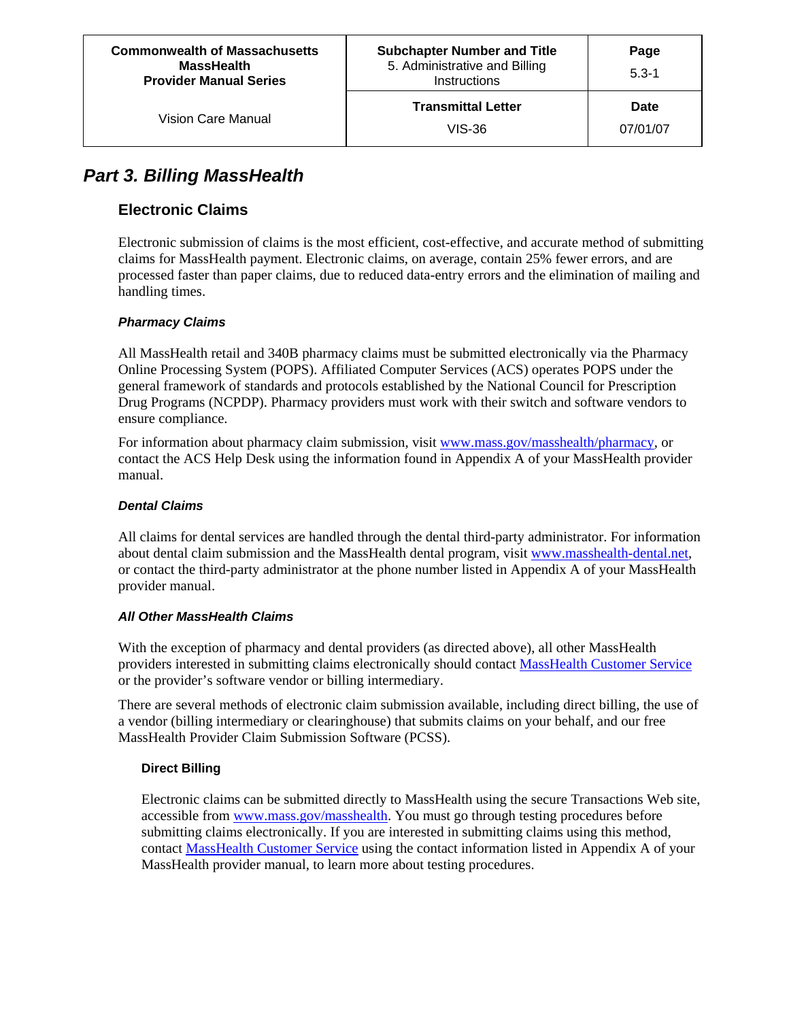# *Part 3. Billing MassHealth*

# **Electronic Claims**

Electronic submission of claims is the most efficient, cost-effective, and accurate method of submitting claims for MassHealth payment. Electronic claims, on average, contain 25% fewer errors, and are processed faster than paper claims, due to reduced data-entry errors and the elimination of mailing and handling times.

# *Pharmacy Claims*

All MassHealth retail and 340B pharmacy claims must be submitted electronically via the Pharmacy Online Processing System (POPS). Affiliated Computer Services (ACS) operates POPS under the general framework of standards and protocols established by the National Council for Prescription Drug Programs (NCPDP). Pharmacy providers must work with their switch and software vendors to ensure compliance.

For information about pharmacy claim submission, visit [www.mass.gov/masshealth/pharmacy,](http://www.mass.gov/masshealth/pharmacy) or contact the ACS Help Desk using the information found in Appendix A of your MassHealth provider manual.

### *Dental Claims*

All claims for dental services are handled through the dental third-party administrator. For information about dental claim submission and the MassHealth dental program, visit www.masshealth-dental.net, or contact the third-party administrator at the phone number listed in Appendix A of your MassHealth provider manual.

# *All Other MassHealth Claims*

With the exception of pharmacy and dental providers (as directed above), all other MassHealth providers interested in submitting claims electronically should contact [MassHealth Customer Service](mailto:providersupport@mahealth.net) or the provider's software vendor or billing intermediary.

There are several methods of electronic claim submission available, including direct billing, the use of a vendor (billing intermediary or clearinghouse) that submits claims on your behalf, and our free MassHealth Provider Claim Submission Software (PCSS).

# **Direct Billing**

Electronic claims can be submitted directly to MassHealth using the secure Transactions Web site, accessible from [www.mass.gov/masshealth](http://www.mass.gov/masshealth). You must go through testing procedures before submitting claims electronically. If you are interested in submitting claims using this method, contact [MassHealth Customer Service](mailto:providersupport@mahealth.net) using the contact information listed in Appendix A of your MassHealth provider manual, to learn more about testing procedures.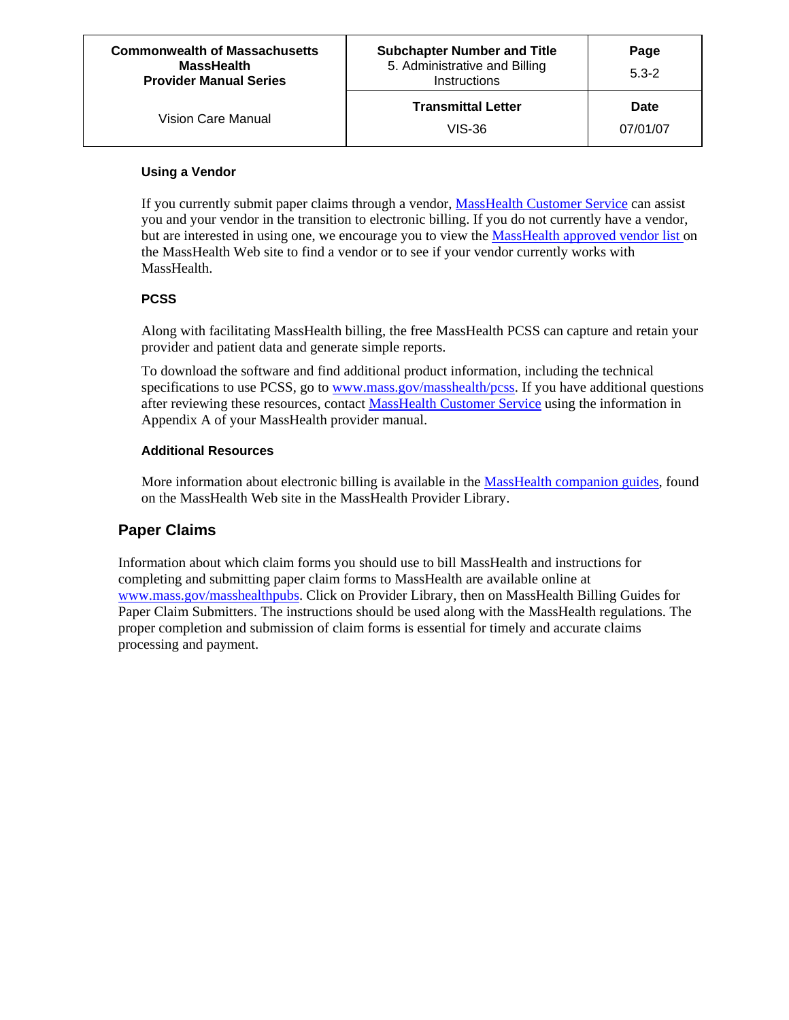### **Using a Vendor**

If you currently submit paper claims through a vendor, [MassHealth Customer Service](mailto:providersupport@mahealth.net) can assist you and your vendor in the transition to electronic billing. If you do not currently have a vendor, but are interested in using one, we encourage you to view the [MassHealth approved vendor list](http://mass.gov/?pageID=eohhs2terminal&L=6&L0=Home&L1=Government&L2=Laws%2c+Regulations+and+Policies&L3=Privacy+and+Security&L4=MassHealth+and+HIPAA&L5=Electronic+Data+Interchange+(EDI)+and+HIPAA+Information+for+Providers&sid=Eeohhs2&b=terminalcontent&f=ma) on the MassHealth Web site to find a vendor or to see if your vendor currently works with MassHealth.

### **PCSS**

Along with facilitating MassHealth billing, the free MassHealth PCSS can capture and retain your provider and patient data and generate simple reports.

To download the software and find additional product information, including the technical specifications to use PCSS, go to [www.mass.gov/masshealth/pcss.](http://www.mass.gov/masshealth) If you have additional questions after reviewing these resources, contact [MassHealth Customer Service](mailto:providersupport@mahealth.net) using the information in Appendix A of your MassHealth provider manual.

### **Additional Resources**

More information about electronic billing is available in the [MassHealth companion guides,](http://www.mass.gov/portal/site/massgovportal/menuitem.307e4dfc1e5731c14db4a11030468a0c/?pageID=eohhs2terminal&L=6&L0=Home&L1=Government&L2=Laws%2c+Regulations+and+Policies&L3=Privacy+and+Security&L4=MassHealth+and+HIPAA&L5=Electronic+Data+Interchange+(EDI)+and+HIPAA+Information+for+Providers&sid=Eeohhs2&b=terminalcontent&f=masshealth_government_hipaa_companion_guide&csid=Eeohhs2) found on the MassHealth Web site in the MassHealth Provider Library.

# **Paper Claims**

Information about which claim forms you should use to bill MassHealth and instructions for completing and submitting paper claim forms to MassHealth are available online at [www.mass.gov/masshealthpubs](http://www.mass.gov/masshealthpubs). Click on Provider Library, then on MassHealth Billing Guides for Paper Claim Submitters. The instructions should be used along with the MassHealth regulations. The proper completion and submission of claim forms is essential for timely and accurate claims processing and payment.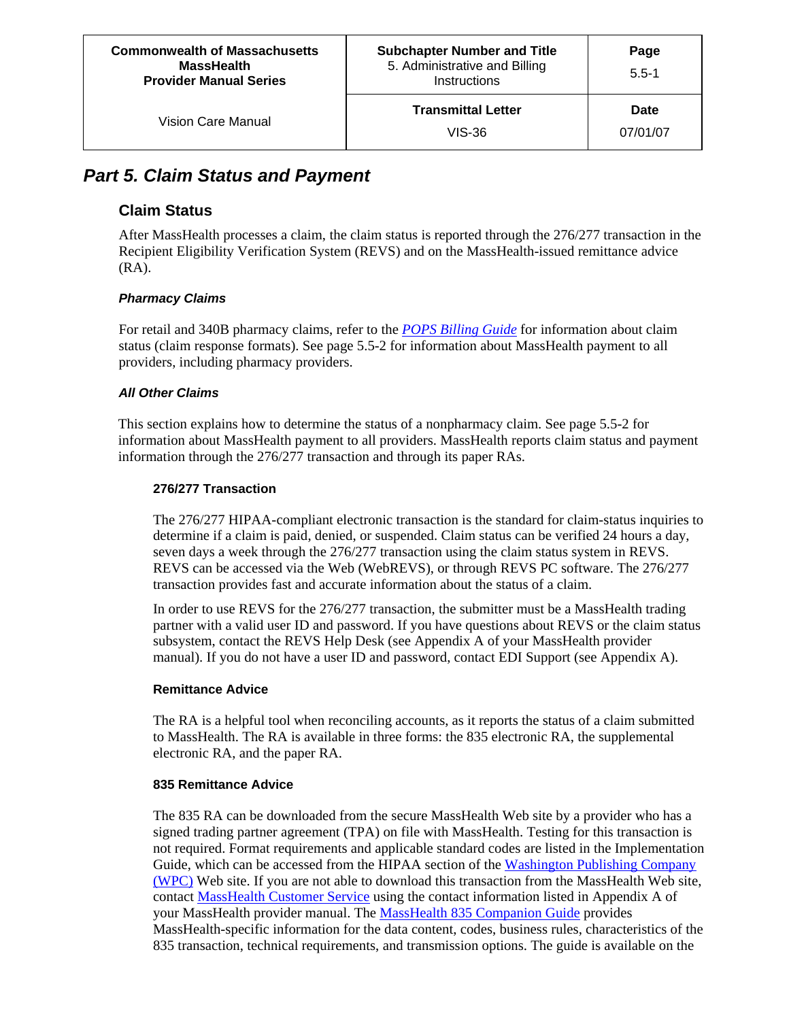**Page** 5.5-1

# *Part 5. Claim Status and Payment*

# **Claim Status**

After MassHealth processes a claim, the claim status is reported through the 276/277 transaction in the Recipient Eligibility Verification System (REVS) and on the MassHealth-issued remittance advice (RA).

### *Pharmacy Claims*

For retail and 340B pharmacy claims, refer to the *[POPS Billing Guide](http://mass.gov/Eeohhs2/docs/masshealth/pharmacy/pops-billing-guide.pdf)* for information about claim status (claim response formats). See page 5.5[-2](#page-5-0) for information about MassHealth payment to all providers, including pharmacy providers.

### *All Other Claims*

This section explains how to determine the status of a nonpharmacy claim. See page 5.5-[2](#page-5-0) for information about MassHealth payment to all providers. MassHealth reports claim status and payment information through the 276/277 transaction and through its paper RAs.

### **276/277 Transaction**

The 276/277 HIPAA-compliant electronic transaction is the standard for claim-status inquiries to determine if a claim is paid, denied, or suspended. Claim status can be verified 24 hours a day, seven days a week through the 276/277 transaction using the claim status system in REVS. REVS can be accessed via the Web (WebREVS), or through REVS PC software. The 276/277 transaction provides fast and accurate information about the status of a claim.

In order to use REVS for the 276/277 transaction, the submitter must be a MassHealth trading partner with a valid user ID and password. If you have questions about REVS or the claim status subsystem, contact the REVS Help Desk (see Appendix A of your MassHealth provider manual). If you do not have a user ID and password, contact EDI Support (see Appendix A).

### **Remittance Advice**

The RA is a helpful tool when reconciling accounts, as it reports the status of a claim submitted to MassHealth. The RA is available in three forms: the 835 electronic RA, the supplemental electronic RA, and the paper RA.

### **835 Remittance Advice**

The 835 RA can be downloaded from the secure MassHealth Web site by a provider who has a signed trading partner agreement (TPA) on file with MassHealth. Testing for this transaction is not required. Format requirements and applicable standard codes are listed in the Implementation Guide, which can be accessed from the HIPAA section of the Washington Publishing Company [\(WPC\)](http://hipaa.wpc-edi.com/hipaa_40.asp) Web site. If you are not able to download this transaction from the MassHealth Web site, contact [MassHealth Customer Service](mailto:providersupport@mahealth.net) using the contact information listed in Appendix A of your MassHealth provider manual. The [MassHealth 835 Companion Guide](http://www.mass.gov/portal/site/massgovportal/menuitem.307e4dfc1e5731c14db4a11030468a0c/?pageID=eohhs2terminal&L=6&L0=Home&L1=Provider&L2=Insurance+(including+MassHealth)&L3=MassHealth&L4=MassHealth+Claims+Submission&L5=Customer+Service&sid=Eeohhs2&b=terminalcontent&f=masshealth_provider_services_ba_835_payment&csid=Eeohhs2) provides MassHealth-specific information for the data content, codes, business rules, characteristics of the 835 transaction, technical requirements, and transmission options. The guide is available on the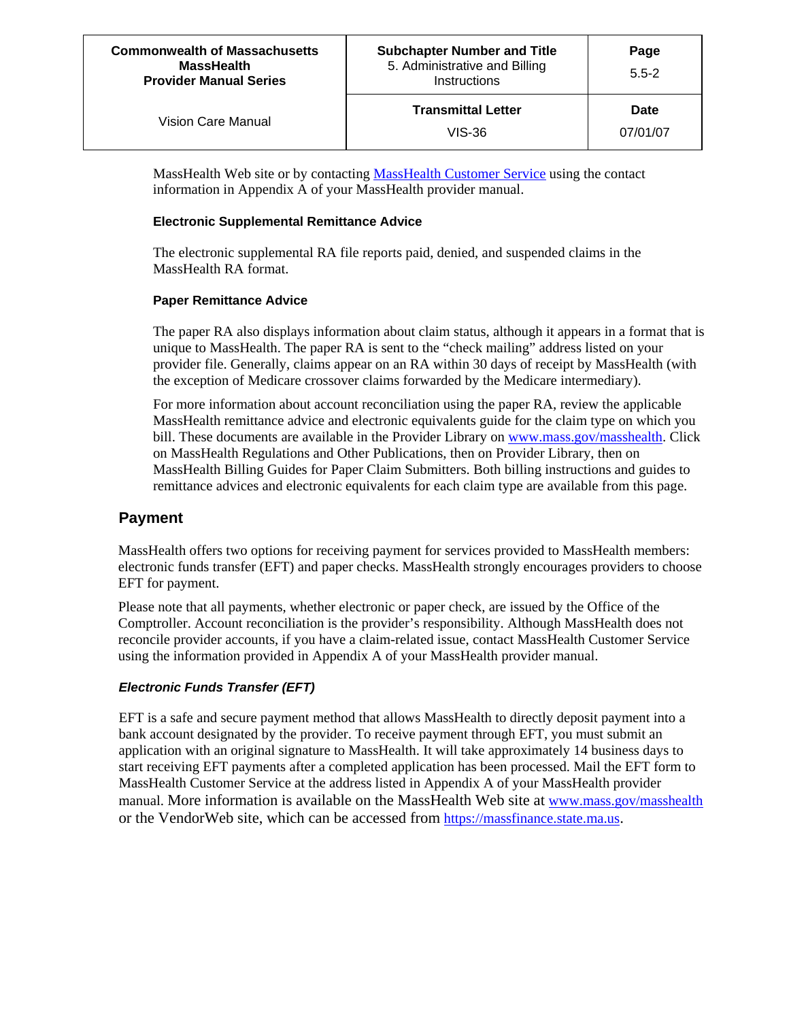| <b>Commonwealth of Massachusetts</b><br><b>MassHealth</b><br><b>Provider Manual Series</b> | <b>Subchapter Number and Title</b><br>5. Administrative and Billing<br>Instructions | Page<br>$5.5 - 2$       |
|--------------------------------------------------------------------------------------------|-------------------------------------------------------------------------------------|-------------------------|
| Vision Care Manual                                                                         | <b>Transmittal Letter</b><br>VIS-36                                                 | <b>Date</b><br>07/01/07 |

MassHealth Web site or by contacting [MassHealth Customer Service](mailto:providersupport@mahealth.net) using the contact information in Appendix A of your MassHealth provider manual.

#### **Electronic Supplemental Remittance Advice**

The electronic supplemental RA file reports paid, denied, and suspended claims in the MassHealth RA format.

### **Paper Remittance Advice**

The paper RA also displays information about claim status, although it appears in a format that is unique to MassHealth. The paper RA is sent to the "check mailing" address listed on your provider file. Generally, claims appear on an RA within 30 days of receipt by MassHealth (with the exception of Medicare crossover claims forwarded by the Medicare intermediary).

For more information about account reconciliation using the paper RA, review the applicable MassHealth remittance advice and electronic equivalents guide for the claim type on which you bill. These documents are available in the Provider Library on [www.mass.gov/masshealth](http://www.mass.gov/masshealth). Click on MassHealth Regulations and Other Publications, then on Provider Library, then on MassHealth Billing Guides for Paper Claim Submitters. Both billing instructions and guides to remittance advices and electronic equivalents for each claim type are available from this page.

# <span id="page-5-0"></span>**Payment**

MassHealth offers two options for receiving payment for services provided to MassHealth members: electronic funds transfer (EFT) and paper checks. MassHealth strongly encourages providers to choose EFT for payment.

Please note that all payments, whether electronic or paper check, are issued by the Office of the Comptroller. Account reconciliation is the provider's responsibility. Although MassHealth does not reconcile provider accounts, if you have a claim-related issue, contact MassHealth Customer Service using the information provided in Appendix A of your MassHealth provider manual.

### *Electronic Funds Transfer (EFT)*

EFT is a safe and secure payment method that allows MassHealth to directly deposit payment into a bank account designated by the provider. To receive payment through EFT, you must submit an application with an original signature to MassHealth. It will take approximately 14 business days to start receiving EFT payments after a completed application has been processed. Mail the EFT form to MassHealth Customer Service at the address listed in Appendix A of your MassHealth provider manual. More information is available on the MassHealth Web site at [www.mass.gov/masshealth](http://www.mass.gov/masshealth) or the VendorWeb site, which can be accessed from [https://massfinance.state.ma.us](https://massfinance.state.ma.us/).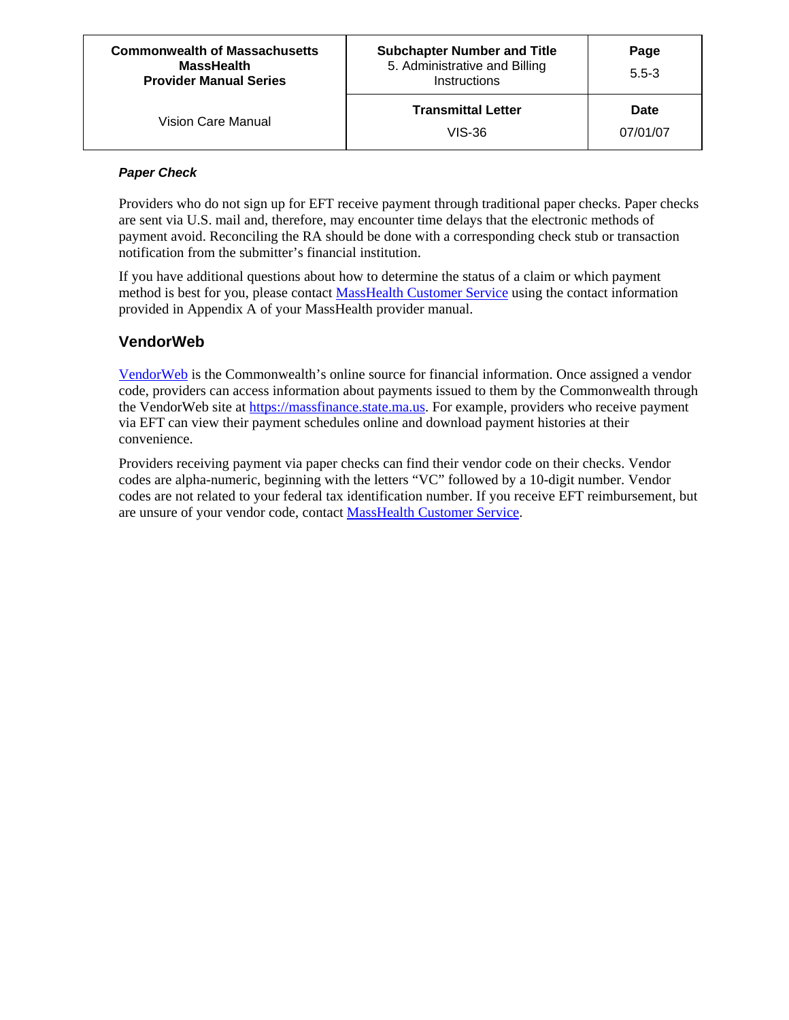| <b>Commonwealth of Massachusetts</b><br><b>MassHealth</b><br><b>Provider Manual Series</b> | <b>Subchapter Number and Title</b><br>5. Administrative and Billing<br>Instructions | Page<br>$5.5 - 3$ |
|--------------------------------------------------------------------------------------------|-------------------------------------------------------------------------------------|-------------------|
| Vision Care Manual                                                                         | <b>Transmittal Letter</b><br>VIS-36                                                 | Date<br>07/01/07  |

#### *Paper Check*

Providers who do not sign up for EFT receive payment through traditional paper checks. Paper checks are sent via U.S. mail and, therefore, may encounter time delays that the electronic methods of payment avoid. Reconciling the RA should be done with a corresponding check stub or transaction notification from the submitter's financial institution.

If you have additional questions about how to determine the status of a claim or which payment method is best for you, please contact [MassHealth Customer Service](mailto:providersupport@mahealth.net) using the contact information provided in Appendix A of your MassHealth provider manual.

# **VendorWeb**

[VendorWeb](https://massfinance.state.ma.us/) is the Commonwealth's online source for financial information. Once assigned a vendor code, providers can access information about payments issued to them by the Commonwealth through the VendorWeb site at [https://massfinance.state.ma.us](https://massfinance.state.ma.us/). For example, providers who receive payment via EFT can view their payment schedules online and download payment histories at their convenience.

Providers receiving payment via paper checks can find their vendor code on their checks. Vendor codes are alpha-numeric, beginning with the letters "VC" followed by a 10-digit number. Vendor codes are not related to your federal tax identification number. If you receive EFT reimbursement, but are unsure of your vendor code, contact [MassHealth Customer Service](mailto:providersupport@mahealth.net).